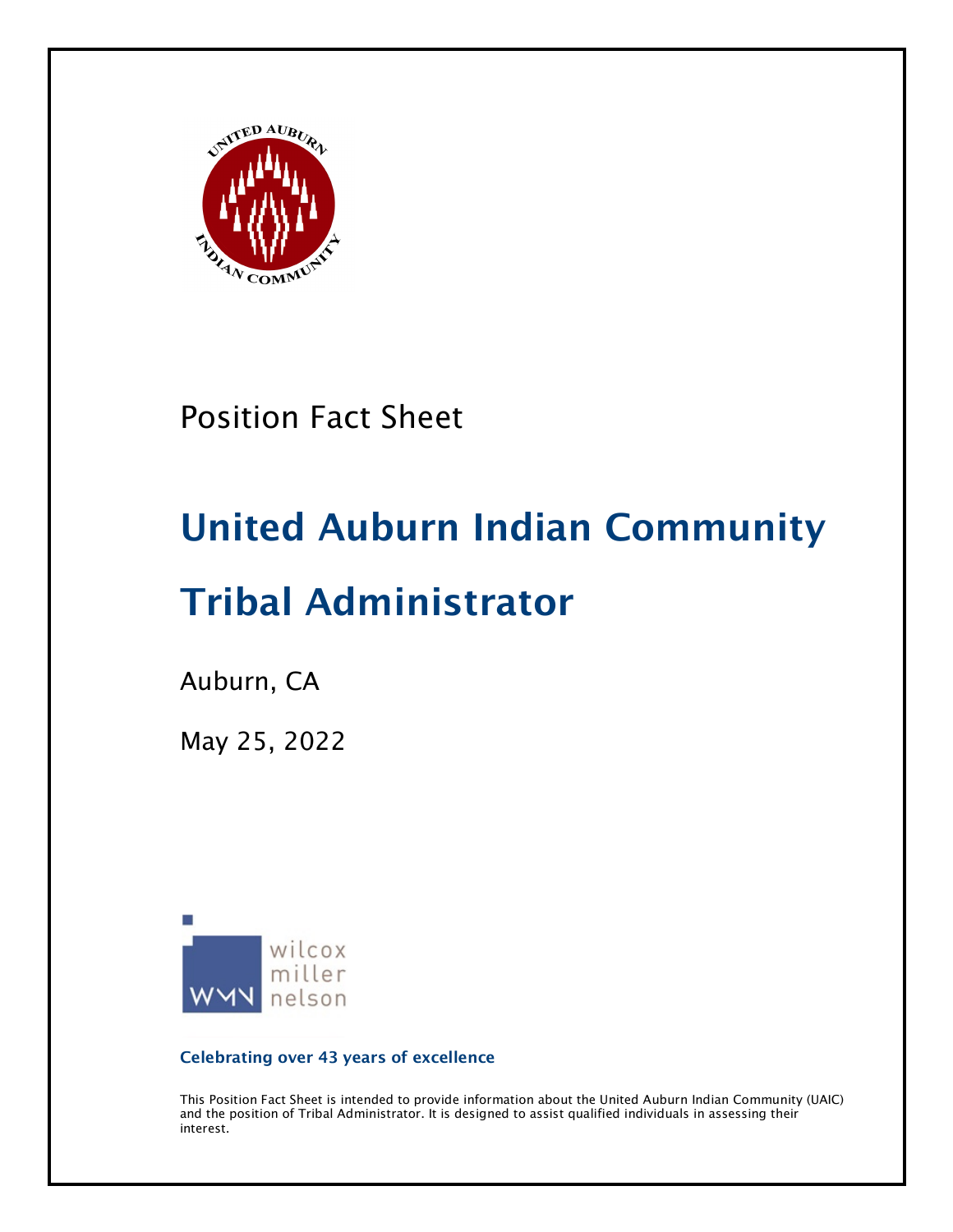

Position Fact Sheet

# United Auburn Indian Community

# Tribal Administrator

Auburn, CA

May 25, 2022



Celebrating over 43 years of excellence

This Position Fact Sheet is intended to provide information about the United Auburn Indian Community (UAIC) and the position of Tribal Administrator. It is designed to assist qualified individuals in assessing their interest.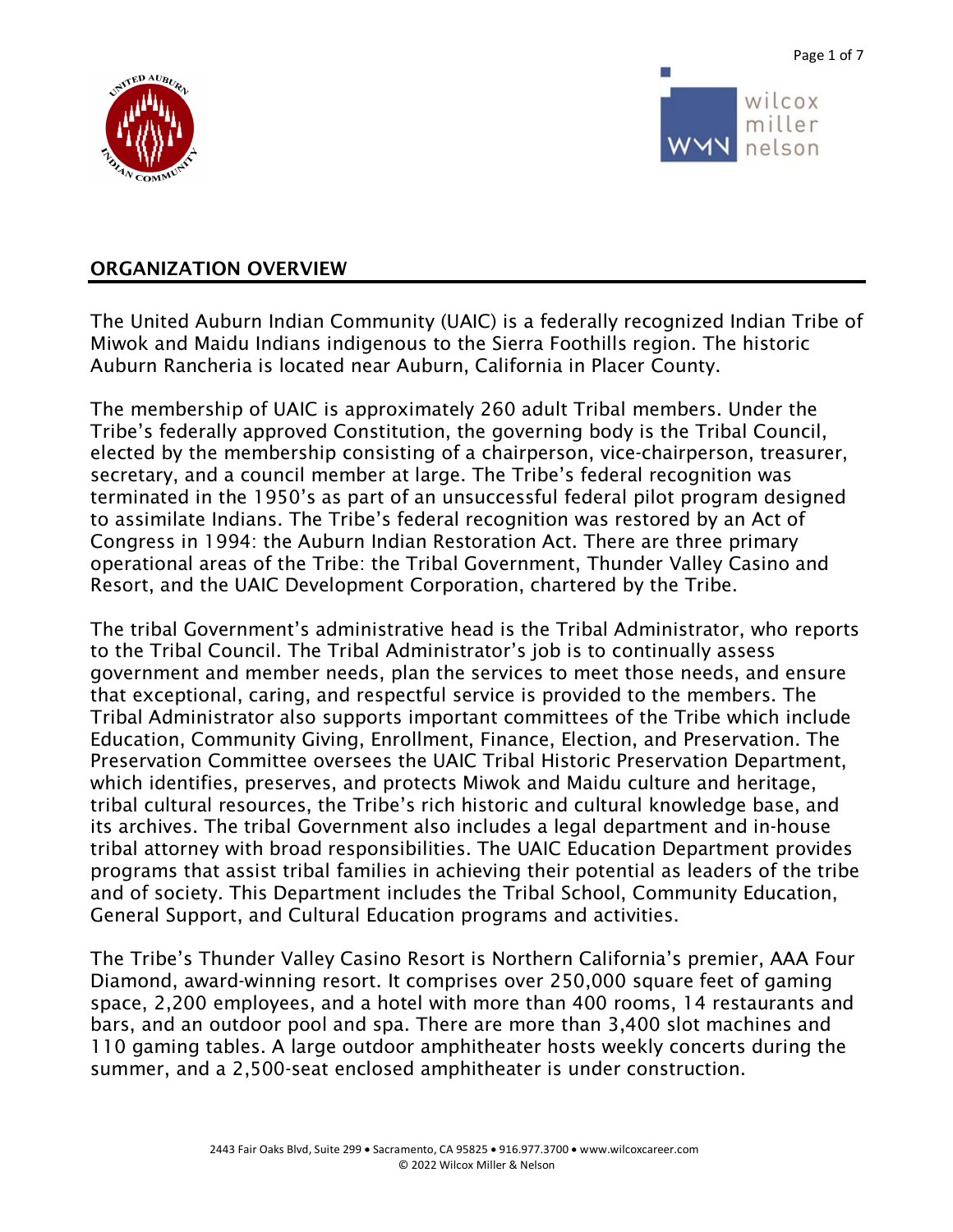

Page 1 of 7



#### ORGANIZATION OVERVIEW

The United Auburn Indian Community (UAIC) is a federally recognized Indian Tribe of Miwok and Maidu Indians indigenous to the Sierra Foothills region. The historic Auburn Rancheria is located near Auburn, California in Placer County.

The membership of UAIC is approximately 260 adult Tribal members. Under the Tribe's federally approved Constitution, the governing body is the Tribal Council, elected by the membership consisting of a chairperson, vice-chairperson, treasurer, secretary, and a council member at large. The Tribe's federal recognition was terminated in the 1950's as part of an unsuccessful federal pilot program designed to assimilate Indians. The Tribe's federal recognition was restored by an Act of Congress in 1994: the Auburn Indian Restoration Act. There are three primary operational areas of the Tribe: the Tribal Government, Thunder Valley Casino and Resort, and the UAIC Development Corporation, chartered by the Tribe.

The tribal Government's administrative head is the Tribal Administrator, who reports to the Tribal Council. The Tribal Administrator's job is to continually assess government and member needs, plan the services to meet those needs, and ensure that exceptional, caring, and respectful service is provided to the members. The Tribal Administrator also supports important committees of the Tribe which include Education, Community Giving, Enrollment, Finance, Election, and Preservation. The Preservation Committee oversees the UAIC Tribal Historic Preservation Department, which identifies, preserves, and protects Miwok and Maidu culture and heritage, tribal cultural resources, the Tribe's rich historic and cultural knowledge base, and its archives. The tribal Government also includes a legal department and in-house tribal attorney with broad responsibilities. The UAIC Education Department provides programs that assist tribal families in achieving their potential as leaders of the tribe and of society. This Department includes the Tribal School, Community Education, General Support, and Cultural Education programs and activities.

The Tribe's Thunder Valley Casino Resort is Northern California's premier, AAA Four Diamond, award-winning resort. It comprises over 250,000 square feet of gaming space, 2,200 employees, and a hotel with more than 400 rooms, 14 restaurants and bars, and an outdoor pool and spa. There are more than 3,400 slot machines and 110 gaming tables. A large outdoor amphitheater hosts weekly concerts during the summer, and a 2,500-seat enclosed amphitheater is under construction.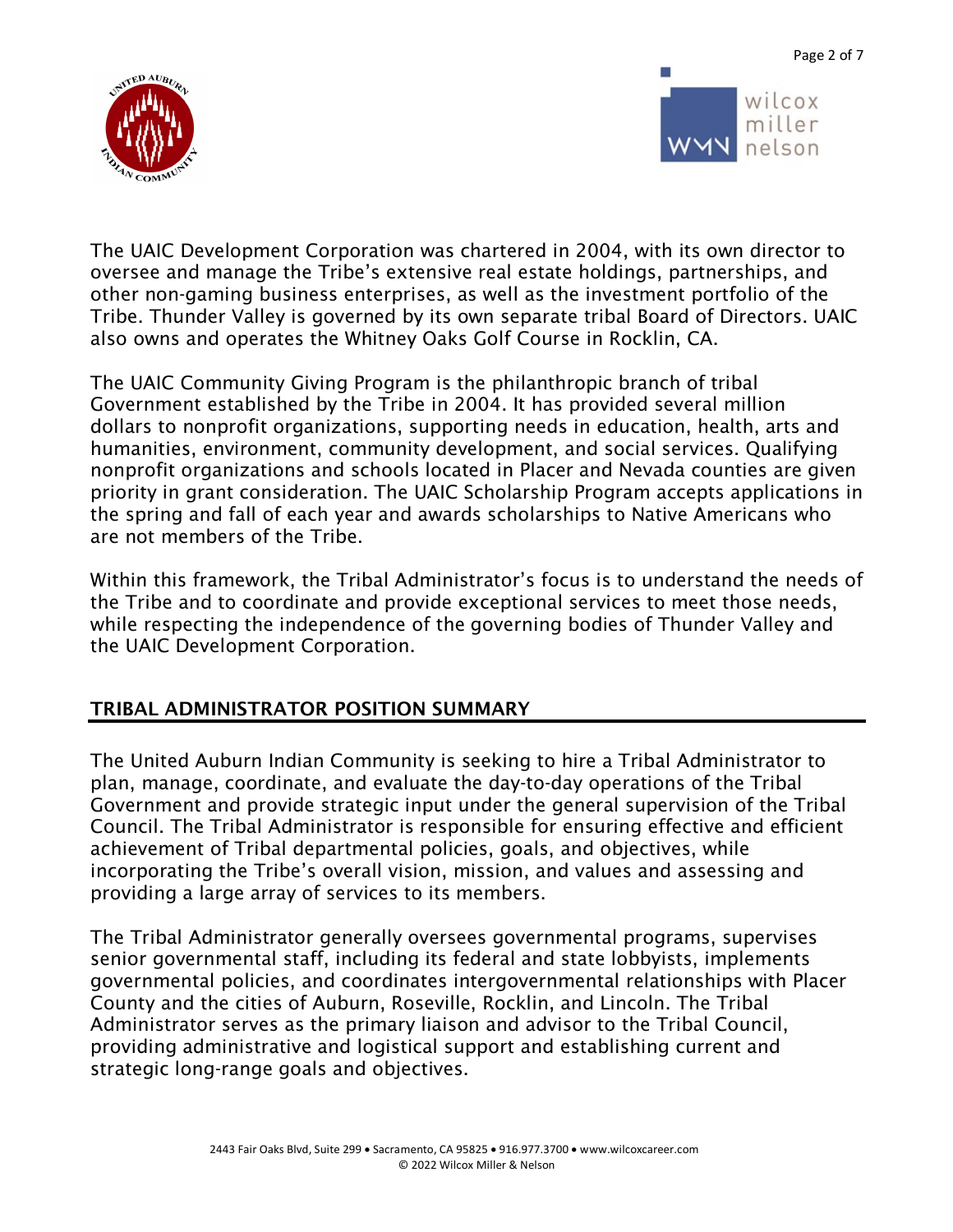



wilcox miller nelson

The UAIC Development Corporation was chartered in 2004, with its own director to oversee and manage the Tribe's extensive real estate holdings, partnerships, and other non-gaming business enterprises, as well as the investment portfolio of the Tribe. Thunder Valley is governed by its own separate tribal Board of Directors. UAIC also owns and operates the Whitney Oaks Golf Course in Rocklin, CA.

The UAIC Community Giving Program is the philanthropic branch of tribal Government established by the Tribe in 2004. It has provided several million dollars to nonprofit organizations, supporting needs in education, health, arts and humanities, environment, community development, and social services. Qualifying nonprofit organizations and schools located in Placer and Nevada counties are given priority in grant consideration. The UAIC Scholarship Program accepts applications in the spring and fall of each year and awards scholarships to Native Americans who are not members of the Tribe.

Within this framework, the Tribal Administrator's focus is to understand the needs of the Tribe and to coordinate and provide exceptional services to meet those needs, while respecting the independence of the governing bodies of Thunder Valley and the UAIC Development Corporation.

#### TRIBAL ADMINISTRATOR POSITION SUMMARY

The United Auburn Indian Community is seeking to hire a Tribal Administrator to plan, manage, coordinate, and evaluate the day-to-day operations of the Tribal Government and provide strategic input under the general supervision of the Tribal Council. The Tribal Administrator is responsible for ensuring effective and efficient achievement of Tribal departmental policies, goals, and objectives, while incorporating the Tribe's overall vision, mission, and values and assessing and providing a large array of services to its members.

The Tribal Administrator generally oversees governmental programs, supervises senior governmental staff, including its federal and state lobbyists, implements governmental policies, and coordinates intergovernmental relationships with Placer County and the cities of Auburn, Roseville, Rocklin, and Lincoln. The Tribal Administrator serves as the primary liaison and advisor to the Tribal Council, providing administrative and logistical support and establishing current and strategic long-range goals and objectives.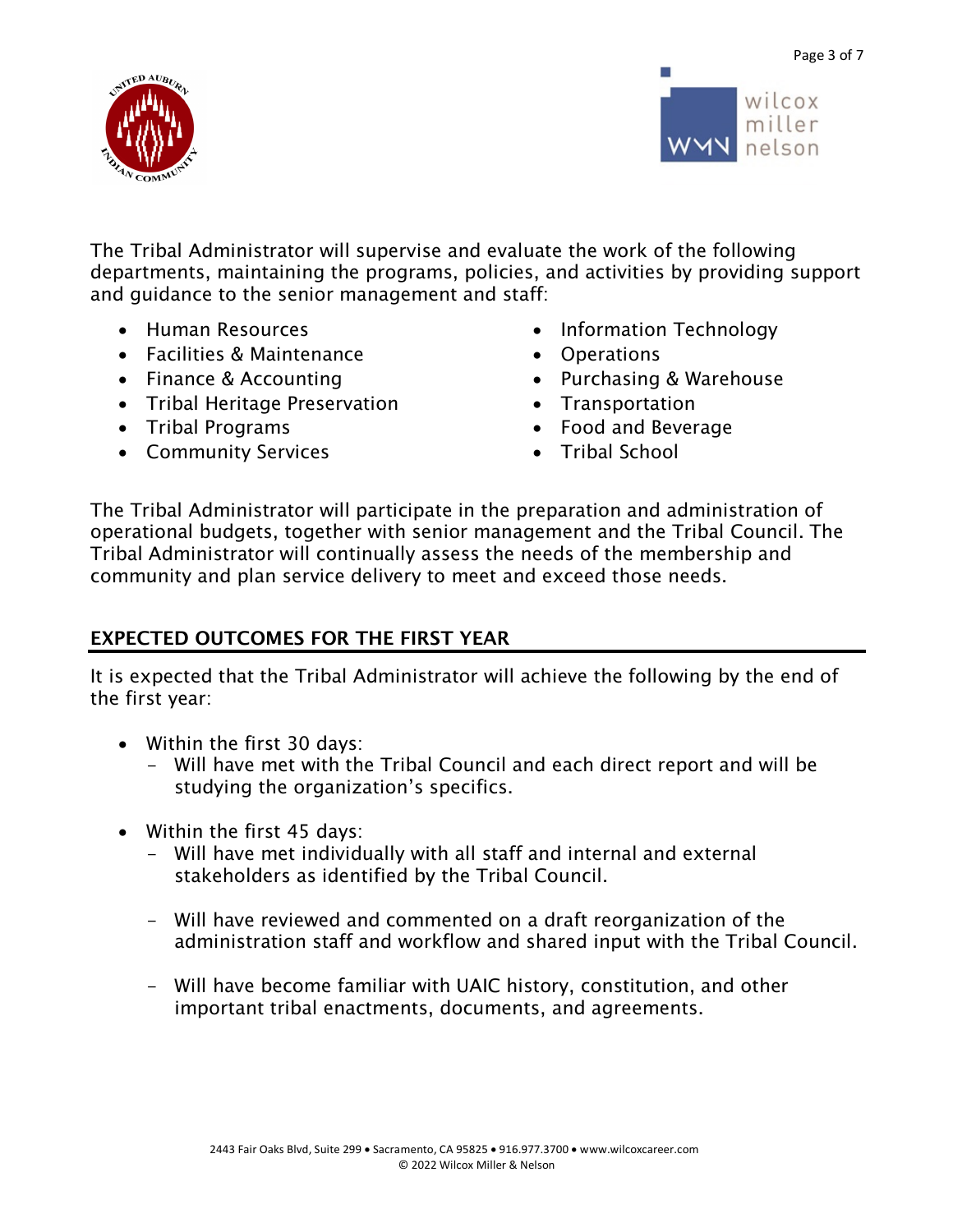Page 3 of 7





The Tribal Administrator will supervise and evaluate the work of the following departments, maintaining the programs, policies, and activities by providing support and guidance to the senior management and staff:

- Human Resources
- Facilities & Maintenance
- Finance & Accounting
- Tribal Heritage Preservation
- Tribal Programs
- Community Services
- Information Technology
- Operations
- Purchasing & Warehouse
- Transportation
- Food and Beverage
- Tribal School

The Tribal Administrator will participate in the preparation and administration of operational budgets, together with senior management and the Tribal Council. The Tribal Administrator will continually assess the needs of the membership and community and plan service delivery to meet and exceed those needs.

### EXPECTED OUTCOMES FOR THE FIRST YEAR

It is expected that the Tribal Administrator will achieve the following by the end of the first year:

- Within the first 30 days:
	- Will have met with the Tribal Council and each direct report and will be studying the organization's specifics.
- Within the first 45 days:
	- Will have met individually with all staff and internal and external stakeholders as identified by the Tribal Council.
	- Will have reviewed and commented on a draft reorganization of the administration staff and workflow and shared input with the Tribal Council.
	- Will have become familiar with UAIC history, constitution, and other important tribal enactments, documents, and agreements.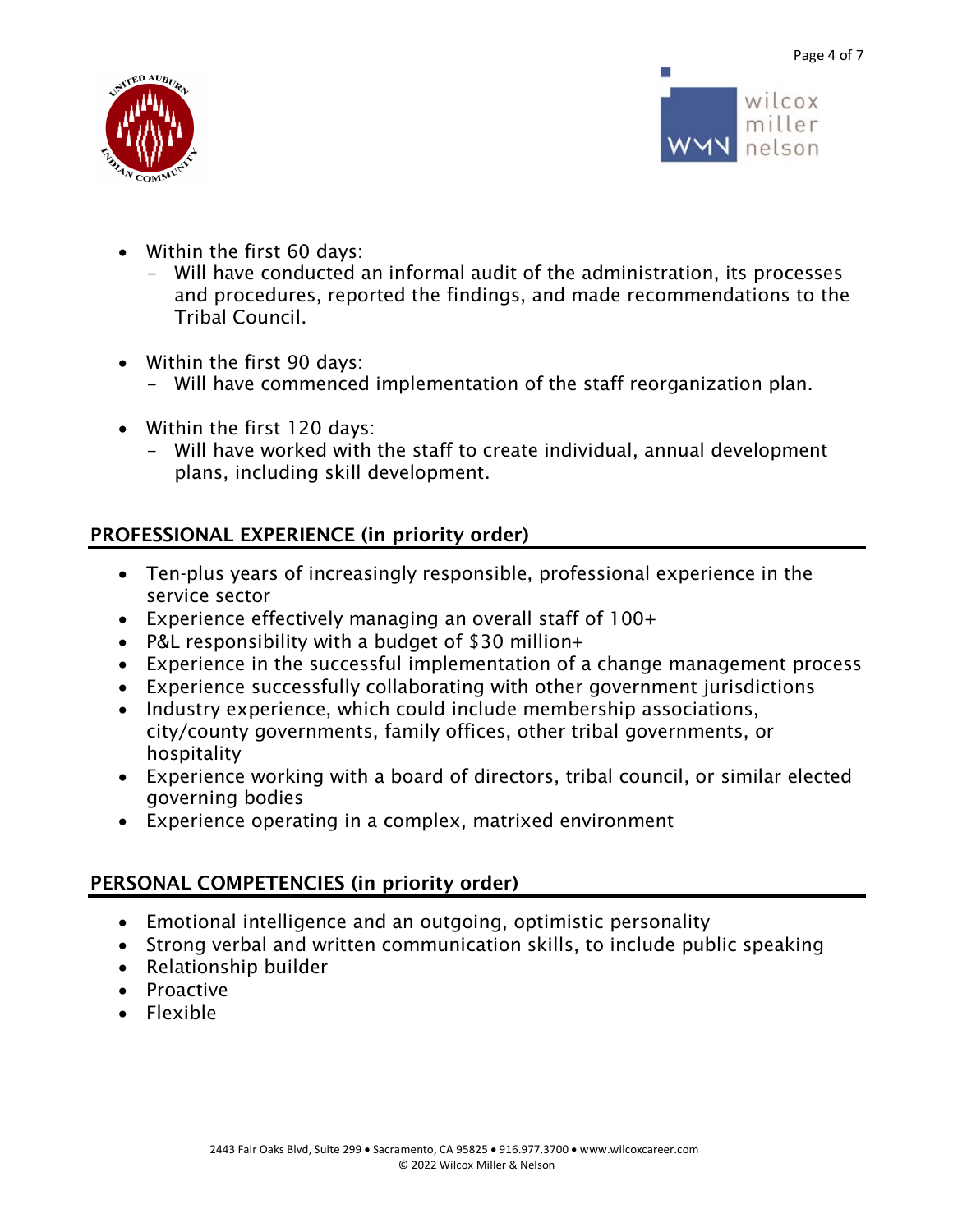



- Within the first 60 days:
	- Will have conducted an informal audit of the administration, its processes and procedures, reported the findings, and made recommendations to the Tribal Council.
- Within the first 90 days:
	- Will have commenced implementation of the staff reorganization plan.
- Within the first 120 days:
	- Will have worked with the staff to create individual, annual development plans, including skill development.

## PROFESSIONAL EXPERIENCE (in priority order)

- Ten-plus years of increasingly responsible, professional experience in the service sector
- Experience effectively managing an overall staff of 100+
- P&L responsibility with a budget of \$30 million+
- Experience in the successful implementation of a change management process
- Experience successfully collaborating with other government jurisdictions
- Industry experience, which could include membership associations, city/county governments, family offices, other tribal governments, or hospitality
- Experience working with a board of directors, tribal council, or similar elected governing bodies
- Experience operating in a complex, matrixed environment

### PERSONAL COMPETENCIES (in priority order)

- Emotional intelligence and an outgoing, optimistic personality
- Strong verbal and written communication skills, to include public speaking
- Relationship builder
- Proactive
- Flexible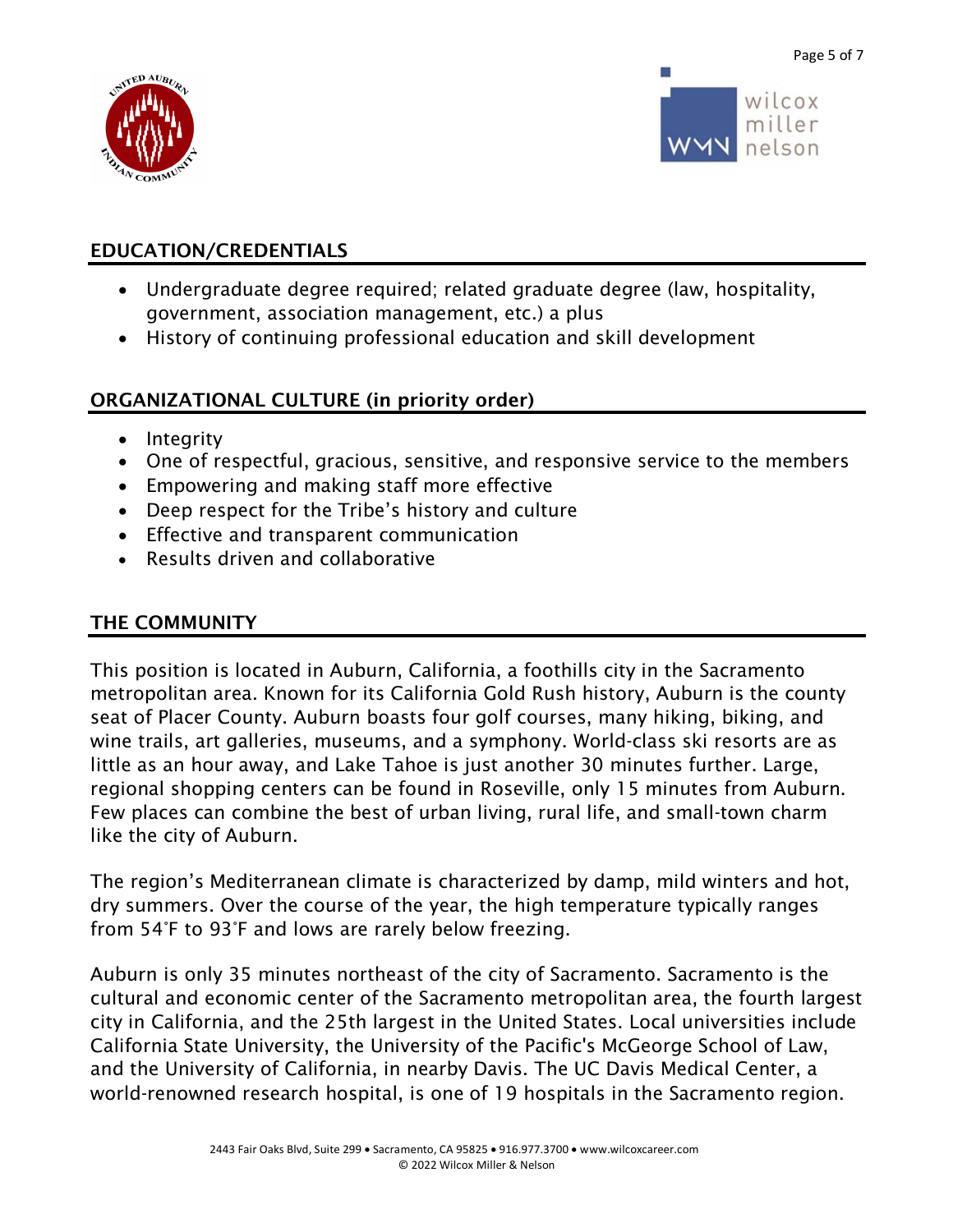

wilcox miller nelson

#### EDUCATION/CREDENTIALS

- Undergraduate degree required; related graduate degree (law, hospitality, government, association management, etc.) a plus
- History of continuing professional education and skill development

#### ORGANIZATIONAL CULTURE (in priority order)

- Integrity
- One of respectful, gracious, sensitive, and responsive service to the members
- Empowering and making staff more effective
- Deep respect for the Tribe's history and culture
- Effective and transparent communication
- Results driven and collaborative

#### THE COMMUNITY

This position is located in Auburn, California, a foothills city in the Sacramento metropolitan area. Known for its California Gold Rush history, Auburn is the county seat of Placer County. Auburn boasts four golf courses, many hiking, biking, and wine trails, art galleries, museums, and a symphony. World-class ski resorts are as little as an hour away, and Lake Tahoe is just another 30 minutes further. Large, regional shopping centers can be found in Roseville, only 15 minutes from Auburn. Few places can combine the best of urban living, rural life, and small-town charm like the city of Auburn.

The region's Mediterranean climate is characterized by damp, mild winters and hot, dry summers. Over the course of the year, the high temperature typically ranges from 54°F to 93°F and lows are rarely below freezing.

Auburn is only 35 minutes northeast of the city of Sacramento. Sacramento is the cultural and economic center of the Sacramento metropolitan area, the fourth largest city in California, and the 25th largest in the United States. Local universities include California State University, the University of the Pacific's McGeorge School of Law, and the University of California, in nearby Davis. The UC Davis Medical Center, a world-renowned research hospital, is one of 19 hospitals in the Sacramento region.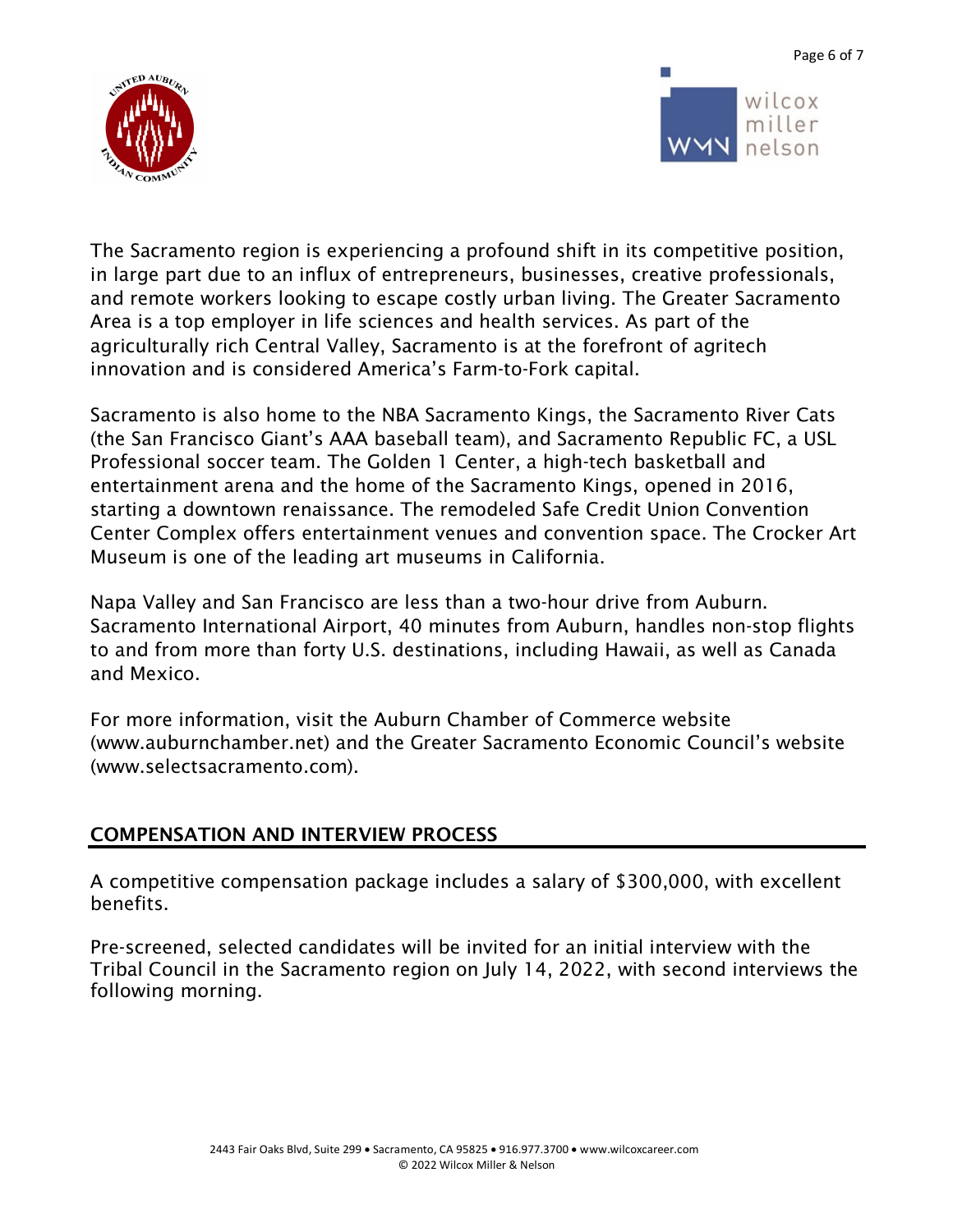



wilcox miller nelson

The Sacramento region is experiencing a profound shift in its competitive position, in large part due to an influx of entrepreneurs, businesses, creative professionals, and remote workers looking to escape costly urban living. The Greater Sacramento Area is a top employer in life sciences and health services. As part of the agriculturally rich Central Valley, Sacramento is at the forefront of agritech innovation and is considered America's Farm-to-Fork capital.

Sacramento is also home to the NBA Sacramento Kings, the Sacramento River Cats (the San Francisco Giant's AAA baseball team), and Sacramento Republic FC, a USL Professional soccer team. The Golden 1 Center, a high-tech basketball and entertainment arena and the home of the Sacramento Kings, opened in 2016, starting a downtown renaissance. The remodeled Safe Credit Union Convention Center Complex offers entertainment venues and convention space. The Crocker Art Museum is one of the leading art museums in California.

Napa Valley and San Francisco are less than a two-hour drive from Auburn. Sacramento International Airport, 40 minutes from Auburn, handles non-stop flights to and from more than forty U.S. destinations, including Hawaii, as well as Canada and Mexico.

For more information, visit the Auburn Chamber of Commerce website (www.auburnchamber.net) and the Greater Sacramento Economic Council's website (www.selectsacramento.com).

### COMPENSATION AND INTERVIEW PROCESS

A competitive compensation package includes a salary of \$300,000, with excellent benefits.

Pre-screened, selected candidates will be invited for an initial interview with the Tribal Council in the Sacramento region on July 14, 2022, with second interviews the following morning.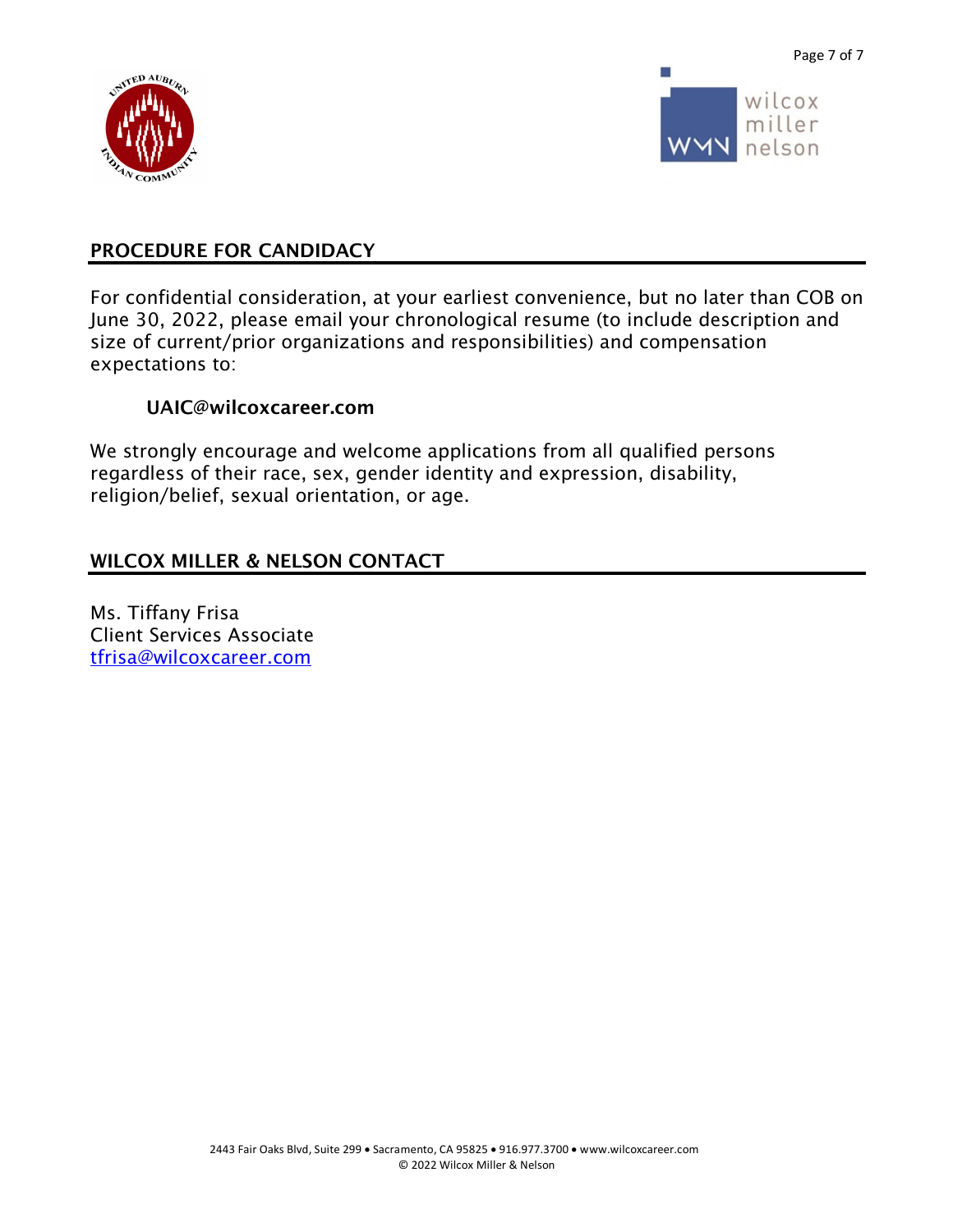



#### PROCEDURE FOR CANDIDACY

For confidential consideration, at your earliest convenience, but no later than COB on June 30, 2022, please email your chronological resume (to include description and size of current/prior organizations and responsibilities) and compensation expectations to:

#### UAIC@wilcoxcareer.com

We strongly encourage and welcome applications from all qualified persons regardless of their race, sex, gender identity and expression, disability, religion/belief, sexual orientation, or age.

#### WILCOX MILLER & NELSON CONTACT

Ms. Tiffany Frisa Client Services Associate tfrisa@wilcoxcareer.com